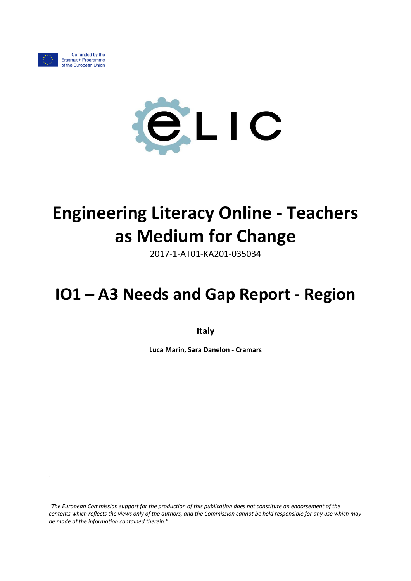

*.*



# **Engineering Literacy Online - Teachers as Medium for Change**

2017-1-AT01-KA201-035034

## **IO1 – A3 Needs and Gap Report - Region**

**Italy**

**Luca Marin, Sara Danelon - Cramars**

*"The European Commission support for the production of this publication does not constitute an endorsement of the contents which reflects the views only of the authors, and the Commission cannot be held responsible for any use which may be made of the information contained therein."*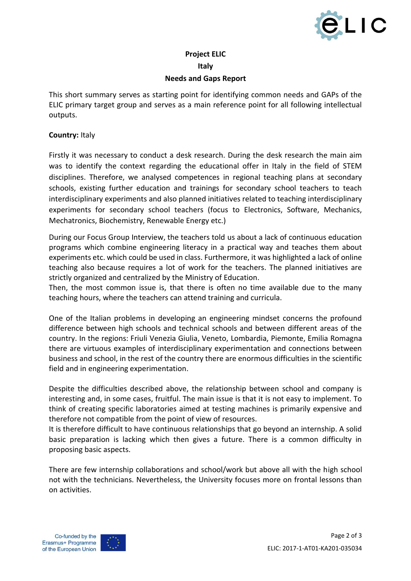

### **Project ELIC Italy**

#### **Needs and Gaps Report**

This short summary serves as starting point for identifying common needs and GAPs of the ELIC primary target group and serves as a main reference point for all following intellectual outputs.

#### **Country:** Italy

Firstly it was necessary to conduct a desk research. During the desk research the main aim was to identify the context regarding the educational offer in Italy in the field of STEM disciplines. Therefore, we analysed competences in regional teaching plans at secondary schools, existing further education and trainings for secondary school teachers to teach interdisciplinary experiments and also planned initiatives related to teaching interdisciplinary experiments for secondary school teachers (focus to Electronics, Software, Mechanics, Mechatronics, Biochemistry, Renewable Energy etc.)

During our Focus Group Interview, the teachers told us about a lack of continuous education programs which combine engineering literacy in a practical way and teaches them about experiments etc. which could be used in class. Furthermore, it was highlighted a lack of online teaching also because requires a lot of work for the teachers. The planned initiatives are strictly organized and centralized by the Ministry of Education.

Then, the most common issue is, that there is often no time available due to the many teaching hours, where the teachers can attend training and curricula.

One of the Italian problems in developing an engineering mindset concerns the profound difference between high schools and technical schools and between different areas of the country. In the regions: Friuli Venezia Giulia, Veneto, Lombardia, Piemonte, Emilia Romagna there are virtuous examples of interdisciplinary experimentation and connections between business and school, in the rest of the country there are enormous difficulties in the scientific field and in engineering experimentation.

Despite the difficulties described above, the relationship between school and company is interesting and, in some cases, fruitful. The main issue is that it is not easy to implement. To think of creating specific laboratories aimed at testing machines is primarily expensive and therefore not compatible from the point of view of resources.

It is therefore difficult to have continuous relationships that go beyond an internship. A solid basic preparation is lacking which then gives a future. There is a common difficulty in proposing basic aspects.

There are few internship collaborations and school/work but above all with the high school not with the technicians. Nevertheless, the University focuses more on frontal lessons than on activities.